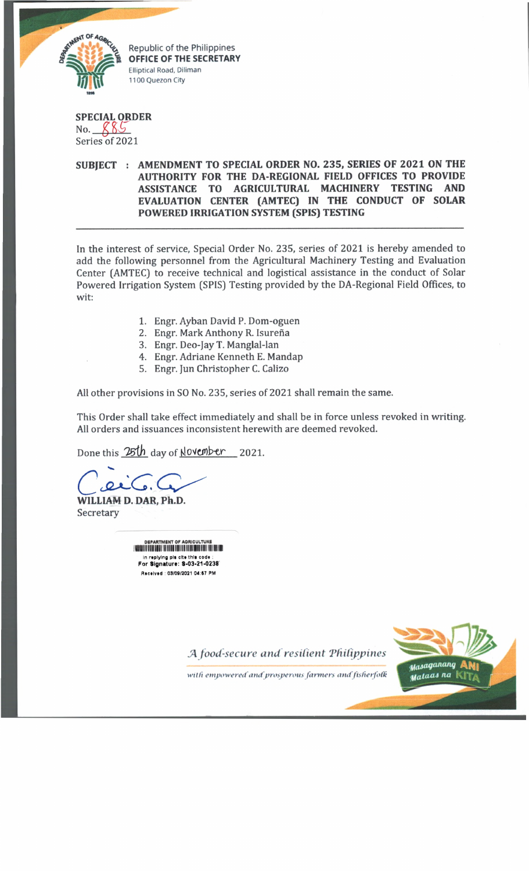

**OFFICE OF THE SECRETARY Elliptical Road, Diliman 1100 Q uezon City**

**SPECIAL ORDER** No.  $885$ Series of 2021

## **SUBJECT : AMENDMENT TO SPECIAL ORDER NO. 235, SERIES OF 2021 ON THE AUTHORITY FOR THE DA-REGIONAL FIELD OFFICES TO PROVIDE ASSISTANCE TO AGRICULTURAL MACHINERY TESTING AND EVALUATION CENTER (AMTEC) IN THE CONDUCT OF SOLAR POWERED IRRIGATION SYSTEM (SPIS) TESTING**

In the interest of service, Special Order No. 235, series of 2021 is hereby amended to add the following personnel from the Agricultural Machinery Testing and Evaluation Center (AMTEC) to receive technical and logistical assistance in the conduct of Solar Powered Irrigation System (SPIS) Testing provided by the DA-Regional Field Offices, to wit:

- 1. Engr. Ayban David P. Dom-oguen
- 2. Engr. Mark Anthony R. Isureña
- 3. Engr. Deo-Jay T. Manglal-lan
- 4. Engr. Adriane Kenneth E. Mandap
- 5. Engr. Jun Christopher C. Calizo

All other provisions in SO No. 235, series of 2021 shall remain the same.

This Order shall take effect immediately and shall be in force unless revoked in writing. All orders and issuances inconsistent herewith are deemed revoked.

Done this 25th day of November<sub>2021</sub>.

**WILLIAM D. DAR, Ph.D.** Secretary

DEPARTMENT OF AORICULTUKE **IfllNilMIII III II I IIIII 'll 'I I II** in replying pis cite this code :<br>**For Signature: S-03-21-0238** Received : 03/09/2021 04:67 PM

*JA food-secure and resilient 'Philippines*

with empowered and prosperous farmers and fisherfolk

Masaganang Mataas na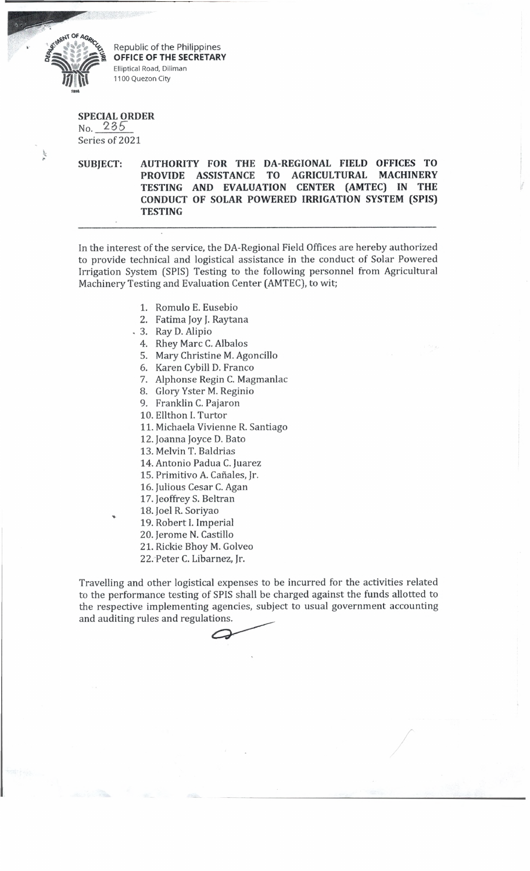

Republic of the Philippines<br>OFFICE OF THE SECRETARY Elliptical Road, Diliman 1100 Quezon City

## **SPECIAL ORDER** No. 235>

Series of 2021

**SUBJECT: AUTHORITY FOR THE DA-REGIONAL FIELD OFFICES TO PROVIDE ASSISTANCE TO AGRICULTURAL MACHINERY TESTING AND EVALUATION CENTER (AMTEC) IN THE CONDUCT OF SOLAR POWERED IRRIGATION SYSTEM (SPIS) TESTING**

In the interest of the service, the DA-Regional Field Offices are hereby authorized to provide technical and logistical assistance in the conduct of Solar Powered Irrigation System (SPIS) Testing to the following personnel from Agricultural Machinery Testing and Evaluation Center (AMTEC), to wit;

- 1. Romulo E. Eusebio
- 2. Fatima Joy J. Raytana
- . 3. Ray D. Alipio
- 4. Rhey Marc C. Albalos
- 5. Mary Christine M. Agoncillo
- 6. Karen Cybill D. Franco
- 7. Alphonse Regin C. Magmanlac
- 8. Glory Yster M. Reginio
- 9. Franklin C. Pajaron
- 10. Ellthon I. Turtor
- 11. Michaela Vivienne R. Santiago
- 12. Joanna Joyce D. Bato
- 13. Melvin T. Baldrias
- 14. Antonio Padua C. Juarez
- 15. Primitivo A. Cañales, Jr.
- 16. Julious Cesar C. Agan
- 17. Jeoffrey S. Beltran
- 18. Joel R. Soriyao
	- 19. Robert I. Imperial
	- 20. Jerome N. Castillo
	- 21. Rickie Bhoy M. Golveo
	- 22. Peter C. Libarnez, Jr.

Travelling and other logistical expenses to be incurred for the activities related to the performance testing of SPIS shall be charged against the funds allotted to the respective implementing agencies, subject to usual government accounting and auditing rules and regulations.